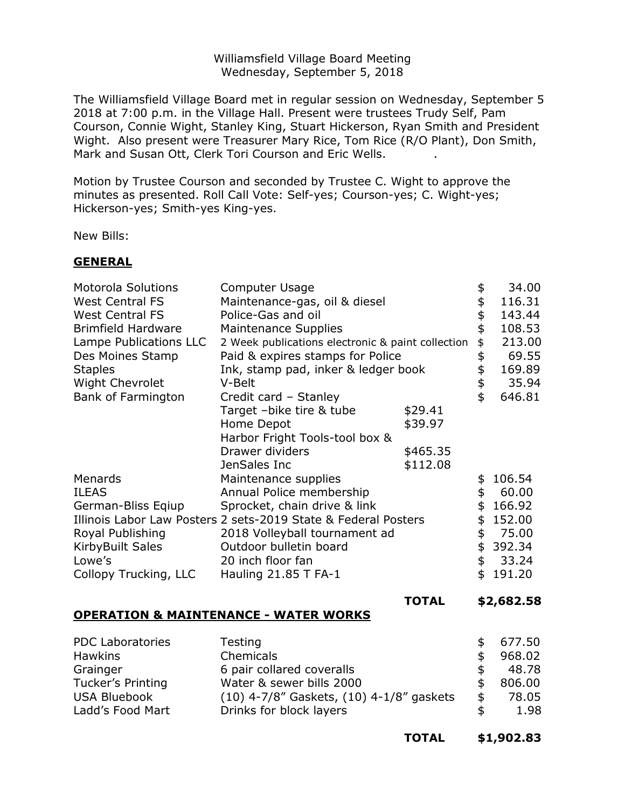Williamsfield Village Board Meeting Wednesday, September 5, 2018

The Williamsfield Village Board met in regular session on Wednesday, September 5 2018 at 7:00 p.m. in the Village Hall. Present were trustees Trudy Self, Pam Courson, Connie Wight, Stanley King, Stuart Hickerson, Ryan Smith and President Wight. Also present were Treasurer Mary Rice, Tom Rice (R/O Plant), Don Smith, Mark and Susan Ott, Clerk Tori Courson and Eric Wells. .

Motion by Trustee Courson and seconded by Trustee C. Wight to approve the minutes as presented. Roll Call Vote: Self-yes; Courson-yes; C. Wight-yes; Hickerson-yes; Smith-yes King-yes.

New Bills:

### **GENERAL**

| <b>Motorola Solutions</b><br><b>West Central FS</b><br><b>West Central FS</b><br><b>Brimfield Hardware</b><br>Lampe Publications LLC<br>Des Moines Stamp<br><b>Staples</b><br>Wight Chevrolet<br>Bank of Farmington | <b>Computer Usage</b><br>Maintenance-gas, oil & diesel<br>Police-Gas and oil<br><b>Maintenance Supplies</b><br>2 Week publications electronic & paint collection<br>Paid & expires stamps for Police<br>Ink, stamp pad, inker & ledger book<br>V-Belt<br>Credit card - Stanley<br>Target -bike tire & tube<br>Home Depot<br>Harbor Fright Tools-tool box &<br>Drawer dividers | \$29.41<br>\$39.97<br>\$465.35 | \$<br>\$<br>\$<br>\$<br>\$<br>\$<br>\$<br>\$<br>\$ | 34.00<br>116.31<br>143.44<br>108.53<br>213.00<br>69.55<br>169.89<br>35.94<br>646.81 |
|---------------------------------------------------------------------------------------------------------------------------------------------------------------------------------------------------------------------|-------------------------------------------------------------------------------------------------------------------------------------------------------------------------------------------------------------------------------------------------------------------------------------------------------------------------------------------------------------------------------|--------------------------------|----------------------------------------------------|-------------------------------------------------------------------------------------|
| Menards<br><b>ILEAS</b><br>German-Bliss Eqiup<br>Royal Publishing<br><b>KirbyBuilt Sales</b><br>Lowe's<br>Collopy Trucking, LLC                                                                                     | JenSales Inc<br>Maintenance supplies<br>Annual Police membership<br>Sprocket, chain drive & link<br>Illinois Labor Law Posters 2 sets-2019 State & Federal Posters<br>2018 Volleyball tournament ad<br>Outdoor bulletin board<br>20 inch floor fan<br>Hauling 21.85 T FA-1                                                                                                    | \$112.08                       | \$<br>\$<br>\$<br>\$<br>\$<br>\$<br>\$<br>\$       | 106.54<br>60.00<br>166.92<br>152.00<br>75.00<br>392.34<br>33.24<br>191.20           |

#### **TOTAL \$2,682.58**

## **OPERATION & MAINTENANCE - WATER WORKS**

|                                              | 677.50 |
|----------------------------------------------|--------|
|                                              | 968.02 |
|                                              | 48.78  |
|                                              | 806.00 |
| \$                                           | 78.05  |
|                                              | 1.98   |
| $(10)$ 4-7/8" Gaskets, $(10)$ 4-1/8" gaskets |        |

**TOTAL \$1,902.83**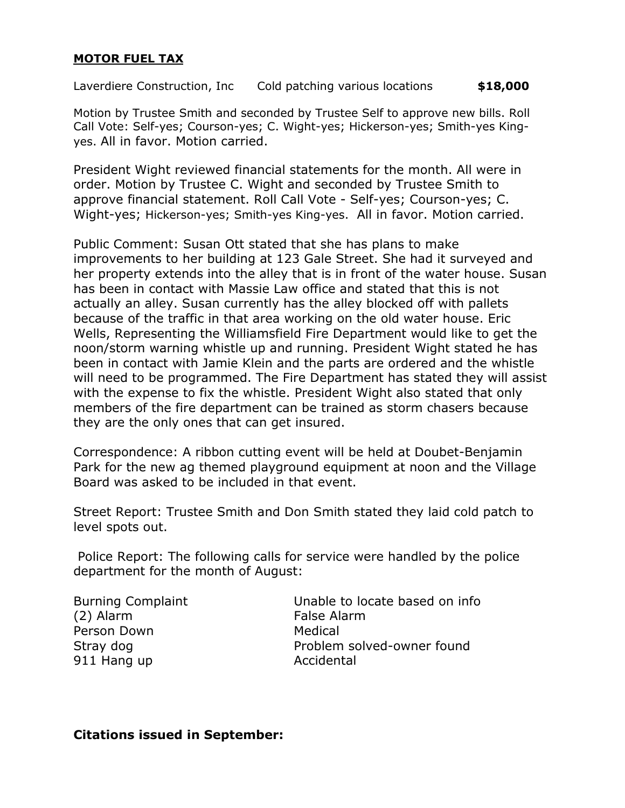# **MOTOR FUEL TAX**

Laverdiere Construction, Inc Cold patching various locations **\$18,000**

Motion by Trustee Smith and seconded by Trustee Self to approve new bills. Roll Call Vote: Self-yes; Courson-yes; C. Wight-yes; Hickerson-yes; Smith-yes Kingyes. All in favor. Motion carried.

President Wight reviewed financial statements for the month. All were in order. Motion by Trustee C. Wight and seconded by Trustee Smith to approve financial statement. Roll Call Vote - Self-yes; Courson-yes; C. Wight-yes; Hickerson-yes; Smith-yes King-yes. All in favor. Motion carried.

Public Comment: Susan Ott stated that she has plans to make improvements to her building at 123 Gale Street. She had it surveyed and her property extends into the alley that is in front of the water house. Susan has been in contact with Massie Law office and stated that this is not actually an alley. Susan currently has the alley blocked off with pallets because of the traffic in that area working on the old water house. Eric Wells, Representing the Williamsfield Fire Department would like to get the noon/storm warning whistle up and running. President Wight stated he has been in contact with Jamie Klein and the parts are ordered and the whistle will need to be programmed. The Fire Department has stated they will assist with the expense to fix the whistle. President Wight also stated that only members of the fire department can be trained as storm chasers because they are the only ones that can get insured.

Correspondence: A ribbon cutting event will be held at Doubet-Benjamin Park for the new ag themed playground equipment at noon and the Village Board was asked to be included in that event.

Street Report: Trustee Smith and Don Smith stated they laid cold patch to level spots out.

Police Report: The following calls for service were handled by the police department for the month of August:

(2) Alarm False Alarm Person Down Medical 911 Hang up **Accidental** 

Burning Complaint **Example 1** Unable to locate based on info Stray dog **Problem solved-owner found** 

## **Citations issued in September:**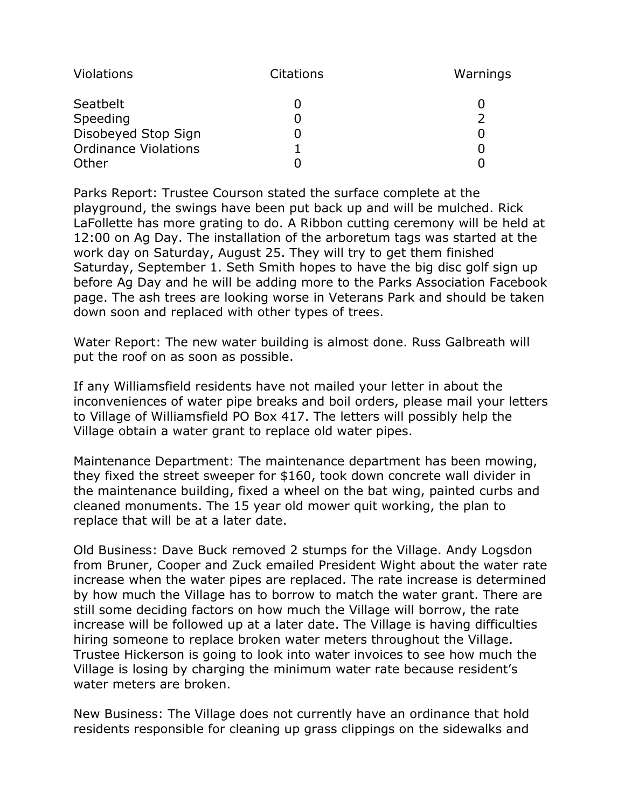| Violations                  | <b>Citations</b> | Warnings |
|-----------------------------|------------------|----------|
| Seatbelt                    |                  |          |
| Speeding                    |                  |          |
| Disobeyed Stop Sign         |                  |          |
| <b>Ordinance Violations</b> |                  |          |
| Other                       |                  |          |

Parks Report: Trustee Courson stated the surface complete at the playground, the swings have been put back up and will be mulched. Rick LaFollette has more grating to do. A Ribbon cutting ceremony will be held at 12:00 on Ag Day. The installation of the arboretum tags was started at the work day on Saturday, August 25. They will try to get them finished Saturday, September 1. Seth Smith hopes to have the big disc golf sign up before Ag Day and he will be adding more to the Parks Association Facebook page. The ash trees are looking worse in Veterans Park and should be taken down soon and replaced with other types of trees.

Water Report: The new water building is almost done. Russ Galbreath will put the roof on as soon as possible.

If any Williamsfield residents have not mailed your letter in about the inconveniences of water pipe breaks and boil orders, please mail your letters to Village of Williamsfield PO Box 417. The letters will possibly help the Village obtain a water grant to replace old water pipes.

Maintenance Department: The maintenance department has been mowing, they fixed the street sweeper for \$160, took down concrete wall divider in the maintenance building, fixed a wheel on the bat wing, painted curbs and cleaned monuments. The 15 year old mower quit working, the plan to replace that will be at a later date.

Old Business: Dave Buck removed 2 stumps for the Village. Andy Logsdon from Bruner, Cooper and Zuck emailed President Wight about the water rate increase when the water pipes are replaced. The rate increase is determined by how much the Village has to borrow to match the water grant. There are still some deciding factors on how much the Village will borrow, the rate increase will be followed up at a later date. The Village is having difficulties hiring someone to replace broken water meters throughout the Village. Trustee Hickerson is going to look into water invoices to see how much the Village is losing by charging the minimum water rate because resident's water meters are broken.

New Business: The Village does not currently have an ordinance that hold residents responsible for cleaning up grass clippings on the sidewalks and